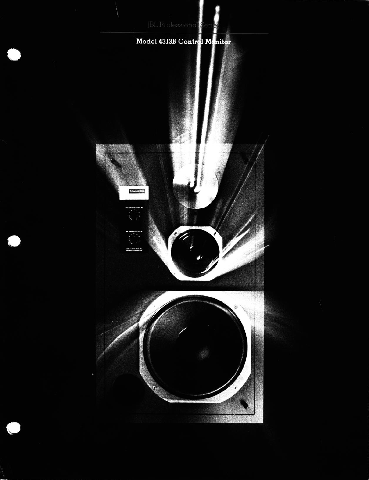# Model 4313B Control Menitor

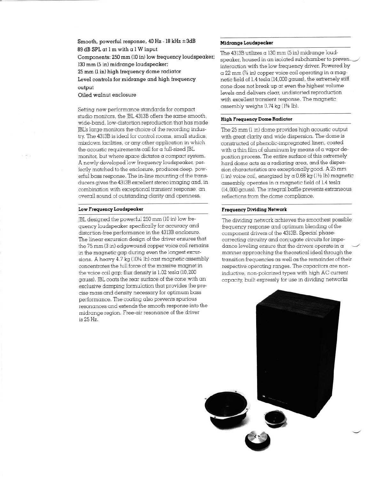Smooth, powerful response,  $40$  Hz -  $18$  kHz  $\pm 3dB$ 89 dB SPL at 1 m with a 1 W input Components: 250 mm (10 in) low frequency loudspeaker; 130 mm (5 in) midrange loudspeaker: 25 mm (1 in) high frequency dome radiator Level controls for midrange and high frequency output Oiled walnut enclosure

Setting new performance standards for compact studio monitors, the JBL 4313B offers the same smooth, wide-band, low-distortion reproduction that has made JBL's large monitors the choice of the recording industry. The 4313B is ideal for control rooms, small studios, mixdown facilities, or any other application in which the acoustic requirements call for a full-sized JBL monitor, but where space dictates a compact system. A newly developed low frequency loudspeaker, perfectly matched to the enclosure, produces deep, powerful bass response. The in-line mounting of the transducers gives the 4313B excellent stereo imaging and, in combination with exceptional transient response, an overall sound of outstanding clarity and openness.

## Low Frequency Loudspeaker

JBL designed the powerful 250 mm (10 in) low frequency loudspeaker specifically for accuracy and distortion-free performance in the 4313B enclosure. The linear excursion design of the driver ensures that the 75 mm (3 in) edgewound copper voice coil remains m the magnetic gap during even the longest excursions. A heavy 4.7 kg (10% lb) cast magnetic assembly concentrates the full force of the massive magnet in the voice coil gap; flux density is 1.02 tesla (10,200 gauss). JBL coats the rear surface of the cone with an exclusive damping formulation that provides the precise mass and density necessary for optimum bass performance. The coating also prevents spurious resonances and extends the smooth response into the midrange region. Free-air resonance of the driver is 25 Hz.

# Midrange Loudspeaker

The  $4313B$  utilizes  $\alpha$  130 mm (5 in) midrange loudspeaker, housed in an isolated subchamber to preven.2 interaction with the low frequency driver. Powered by  $\alpha$  22 mm (% in) copper voice coil operating in  $\alpha$  magnetic field of 1.4 tesla (14,000 gauss), the extremely stiff cone does not break up at even the highest volume levels and delivers clear, undistorted reproduction with excellent transient response. The mqgnetic assembly weighs 0.74 kg (1% lb).

## High Frequency Dome Radiator

The 25 mm (1 in) dome provides high acoustic output with great clarity and wide dispersion. The dome is constructed of phenolic-impregnated linen, coated with  $\alpha$  thin film of aluminum by means of a vapor deposition process. The entire surface of this extremely hard dome acts as a radiating area, and the dispersion characteristics are exceptionally good. A 25 mm (1 in) voice coil, energized by  $\alpha$  0.68 kg (1½ lb) magnetic assembly, operates in a magnetic field of 1.4 tesla (14,000 gauss). The integral baffle prevents extraneous reflections from the dome compliance.

# Frequency Dividing Network

The dividing network achieves the smoothest possible frequency response and optimum blending of the component drivers of the 4313B. Special phasecorrecting circuitry and conjugate circuits for impedance leveling ensure that the drivers operate in  $\alpha$ manner approaching the theoretical ideal through the transition frequencies as well as the remainder of their respective operating ranges. The capacitors are noninductive, non-polarized types with high AC current capacity, built expressly for use in dividing networks